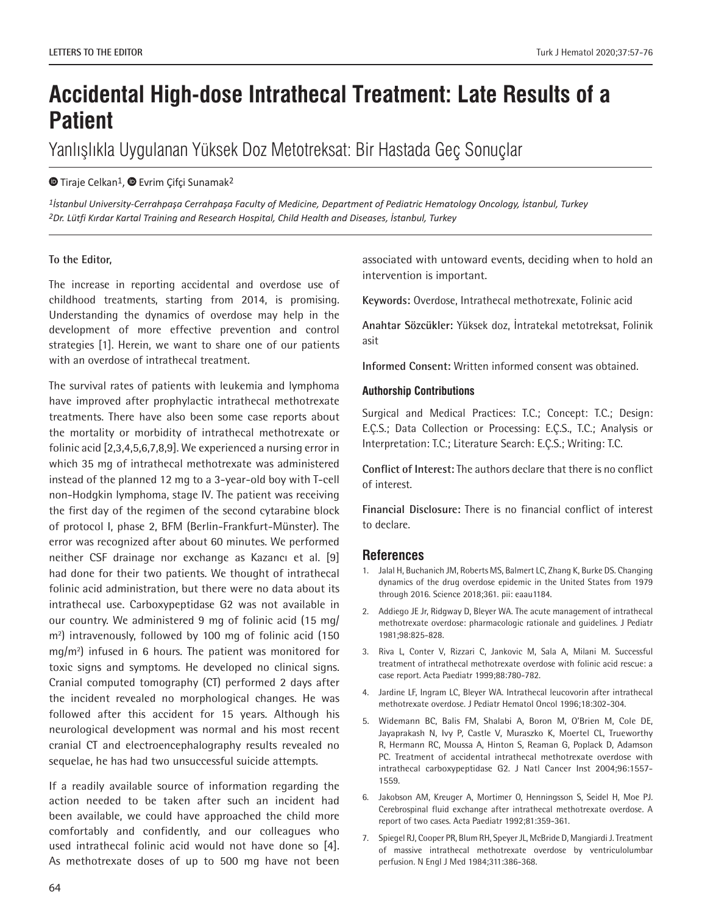# **Accidental High-dose Intrathecal Treatment: Late Results of a Patient**

Yanlışlıkla Uygulanan Yüksek Doz Metotreksat: Bir Hastada Geç Sonuçlar

## $\bullet$ Tiraje Celkan<sup>1</sup>,  $\bullet$  Evrim Çifçi Sunamak<sup>2</sup>

*1İstanbul University-Cerrahpaşa Cerrahpaşa Faculty of Medicine, Department of Pediatric Hematology Oncology, İstanbul, Turkey 2Dr. Lütfi Kırdar Kartal Training and Research Hospital, Child Health and Diseases, İstanbul, Turkey*

### **To the Editor,**

The increase in reporting accidental and overdose use of childhood treatments, starting from 2014, is promising. Understanding the dynamics of overdose may help in the development of more effective prevention and control strategies [1]. Herein, we want to share one of our patients with an overdose of intrathecal treatment.

The survival rates of patients with leukemia and lymphoma have improved after prophylactic intrathecal methotrexate treatments. There have also been some case reports about the mortality or morbidity of intrathecal methotrexate or folinic acid [2,3,4,5,6,7,8,9]. We experienced a nursing error in which 35 mg of intrathecal methotrexate was administered instead of the planned 12 mg to a 3-year-old boy with T-cell non-Hodgkin lymphoma, stage IV. The patient was receiving the first day of the regimen of the second cytarabine block of protocol I, phase 2, BFM (Berlin-Frankfurt-Münster). The error was recognized after about 60 minutes. We performed neither CSF drainage nor exchange as Kazancı et al. [9] had done for their two patients. We thought of intrathecal folinic acid administration, but there were no data about its intrathecal use. Carboxypeptidase G2 was not available in our country. We administered 9 mg of folinic acid (15 mg/ m2 ) intravenously, followed by 100 mg of folinic acid (150 mg/m2 ) infused in 6 hours. The patient was monitored for toxic signs and symptoms. He developed no clinical signs. Cranial computed tomography (CT) performed 2 days after the incident revealed no morphological changes. He was followed after this accident for 15 years. Although his neurological development was normal and his most recent cranial CT and electroencephalography results revealed no sequelae, he has had two unsuccessful suicide attempts.

If a readily available source of information regarding the action needed to be taken after such an incident had been available, we could have approached the child more comfortably and confidently, and our colleagues who used intrathecal folinic acid would not have done so [4]. As methotrexate doses of up to 500 mg have not been

associated with untoward events, deciding when to hold an intervention is important.

**Keywords:** Overdose, Intrathecal methotrexate, Folinic acid

**Anahtar Sözcükler:** Yüksek doz, İntratekal metotreksat, Folinik asit

**Informed Consent:** Written informed consent was obtained.

#### **Authorship Contributions**

Surgical and Medical Practices: T.C.; Concept: T.C.; Design: E.Ç.S.; Data Collection or Processing: E.Ç.S., T.C.; Analysis or Interpretation: T.C.; Literature Search: E.Ç.S.; Writing: T.C.

**Conflict of Interest:** The authors declare that there is no conflict of interest.

**Financial Disclosure:** There is no financial conflict of interest to declare.

## **References**

- 1. Jalal H, Buchanich JM, Roberts MS, Balmert LC, Zhang K, Burke DS. Changing dynamics of the drug overdose epidemic in the United States from 1979 through 2016. Science 2018;361. pii: eaau1184.
- 2. Addiego JE Jr, Ridgway D, Bleyer WA. The acute management of intrathecal methotrexate overdose: pharmacologic rationale and guidelines. J Pediatr 1981;98:825-828.
- 3. Riva L, Conter V, Rizzari C, Jankovic M, Sala A, Milani M. Successful treatment of intrathecal methotrexate overdose with folinic acid rescue: a case report. Acta Paediatr 1999;88:780-782.
- 4. Jardine LF, Ingram LC, Bleyer WA. Intrathecal leucovorin after intrathecal methotrexate overdose. J Pediatr Hematol Oncol 1996;18:302-304.
- 5. Widemann BC, Balis FM, Shalabi A, Boron M, O'Brien M, Cole DE, Jayaprakash N, Ivy P, Castle V, Muraszko K, Moertel CL, Trueworthy R, Hermann RC, Moussa A, Hinton S, Reaman G, Poplack D, Adamson PC. Treatment of accidental intrathecal methotrexate overdose with intrathecal carboxypeptidase G2. J Natl Cancer Inst 2004;96:1557- 1559.
- 6. Jakobson AM, Kreuger A, Mortimer O, Henningsson S, Seidel H, Moe PJ. Cerebrospinal fluid exchange after intrathecal methotrexate overdose. A report of two cases. Acta Paediatr 1992;81:359-361.
- 7. Spiegel RJ, Cooper PR, Blum RH, Speyer JL, McBride D, Mangiardi J. Treatment of massive intrathecal methotrexate overdose by ventriculolumbar perfusion. N Engl J Med 1984;311:386-368.